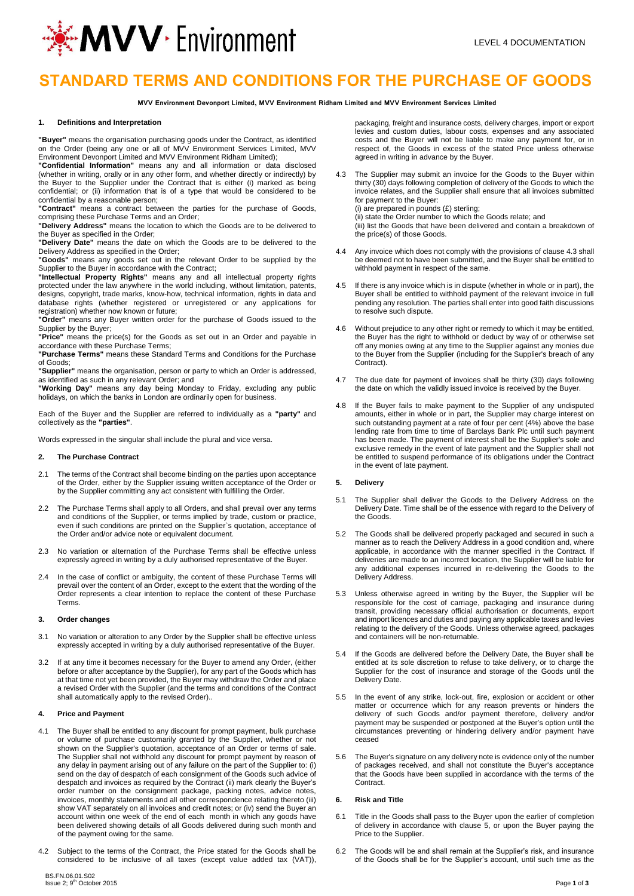

## **STANDARD TERMS AND CONDITIONS FOR THE PURCHASE OF GOODS**

**MVV Environment Devonport Limited, MVV Environment Ridham Limited and MVV Environment Services Limited**

### **1. Definitions and Interpretation**

**"Buyer"** means the organisation purchasing goods under the Contract, as identified on the Order (being any one or all of MVV Environment Services Limited, MVV

Environment Devonport Limited and MVV Environment Ridham Limited); **"Confidential Information"** means any and all information or data disclosed (whether in writing, orally or in any other form, and whether directly or indirectly) by the Buyer to the Supplier under the Contract that is either (i) marked as being confidential; or (ii) information that is of a type that would be considered to be

confidential by a reasonable person; **"Contract"** means a contract between the parties for the purchase of Goods, comprising these Purchase Terms and an Order;

**"Delivery Address"** means the location to which the Goods are to be delivered to the Buyer as specified in the Order;

**"Delivery Date"** means the date on which the Goods are to be delivered to the Delivery Address as specified in the Order;

**"Goods"** means any goods set out in the relevant Order to be supplied by the Supplier to the Buyer in accordance with the Contract;

**"Intellectual Property Rights"** means any and all intellectual property rights protected under the law anywhere in the world including, without limitation, patents, designs, copyright, trade marks, know-how, technical information, rights in data and database rights (whether registered or unregistered or any applications for

registration) whether now known or future; **"Order"** means any Buyer written order for the purchase of Goods issued to the Supplier by the Buyer;

**"Price"** means the price(s) for the Goods as set out in an Order and payable in accordance with these Purchase Terms;

**"Purchase Terms"** means these Standard Terms and Conditions for the Purchase of Goods;

**"Supplier"** means the organisation, person or party to which an Order is addressed, as identified as such in any relevant Order; and

**"Working Day"** means any day being Monday to Friday, excluding any public holidays, on which the banks in London are ordinarily open for business.

Each of the Buyer and the Supplier are referred to individually as a **"party"** and collectively as the **"parties"**.

Words expressed in the singular shall include the plural and vice versa.

#### **2. The Purchase Contract**

- 2.1 The terms of the Contract shall become binding on the parties upon acceptance of the Order, either by the Supplier issuing written acceptance of the Order or by the Supplier committing any act consistent with fulfilling the Order.
- 2.2 The Purchase Terms shall apply to all Orders, and shall prevail over any terms and conditions of the Supplier, or terms implied by trade, custom or practice, even if such conditions are printed on the Supplier`s quotation, acceptance of the Order and/or advice note or equivalent document.
- 2.3 No variation or alternation of the Purchase Terms shall be effective unless expressly agreed in writing by a duly authorised representative of the Buyer.
- 2.4 In the case of conflict or ambiguity, the content of these Purchase Terms will prevail over the content of an Order, except to the extent that the wording of the Order represents a clear intention to replace the content of these Purchase Terms.

#### **3. Order changes**

- 3.1 No variation or alteration to any Order by the Supplier shall be effective unless expressly accepted in writing by a duly authorised representative of the Buyer.
- 3.2 If at any time it becomes necessary for the Buyer to amend any Order, (either before or after acceptance by the Supplier), for any part of the Goods which has at that time not yet been provided, the Buyer may withdraw the Order and place a revised Order with the Supplier (and the terms and conditions of the Contract shall automatically apply to the revised Order)..

### **4. Price and Payment**

- 4.1 The Buyer shall be entitled to any discount for prompt payment, bulk purchase or volume of purchase customarily granted by the Supplier, whether or not shown on the Supplier's quotation, acceptance of an Order or terms of sale. The Supplier shall not withhold any discount for prompt payment by reason of any delay in payment arising out of any failure on the part of the Supplier to: (i) send on the day of despatch of each consignment of the Goods such advice of despatch and invoices as required by the Contract (ii) mark clearly the Buyer's order number on the consignment package, packing notes, advice notes, invoices, monthly statements and all other correspondence relating thereto (iii) show VAT separately on all invoices and credit notes; or (iv) send the Buyer an account within one week of the end of each month in which any goods have been delivered showing details of all Goods delivered during such month and of the payment owing for the same.
- 4.2 Subject to the terms of the Contract, the Price stated for the Goods shall be considered to be inclusive of all taxes (except value added tax (VAT)),

packaging, freight and insurance costs, delivery charges, import or export levies and custom duties, labour costs, expenses and any associated costs and the Buyer will not be liable to make any payment for, or in respect of, the Goods in excess of the stated Price unless otherwise agreed in writing in advance by the Buyer.

- 4.3 The Supplier may submit an invoice for the Goods to the Buyer within thirty (30) days following completion of delivery of the Goods to which the invoice relates, and the Supplier shall ensure that all invoices submitted for payment to the Buyer:
	- (i) are prepared in pounds (£) sterling;

(ii) state the Order number to which the Goods relate; and (iii) list the Goods that have been delivered and contain a breakdown of the price(s) of those Goods.

- 4.4 Any invoice which does not comply with the provisions of clause 4.3 shall be deemed not to have been submitted, and the Buyer shall be entitled to withhold payment in respect of the same.
- If there is any invoice which is in dispute (whether in whole or in part), the Buyer shall be entitled to withhold payment of the relevant invoice in full pending any resolution. The parties shall enter into good faith discussions to resolve such dispute.
- 4.6 Without prejudice to any other right or remedy to which it may be entitled, the Buyer has the right to withhold or deduct by way of or otherwise set off any monies owing at any time to the Supplier against any monies due to the Buyer from the Supplier (including for the Supplier's breach of any Contract).
- 4.7 The due date for payment of invoices shall be thirty (30) days following the date on which the validly issued invoice is received by the Buyer.
- If the Buyer fails to make payment to the Supplier of any undisputed amounts, either in whole or in part, the Supplier may charge interest on such outstanding payment at a rate of four per cent (4%) above the base lending rate from time to time of Barclays Bank Plc until such payment has been made. The payment of interest shall be the Supplier's sole and exclusive remedy in the event of late payment and the Supplier shall not be entitled to suspend performance of its obligations under the Contract in the event of late payment.

#### **5. Delivery**

- 5.1 The Supplier shall deliver the Goods to the Delivery Address on the Delivery Date. Time shall be of the essence with regard to the Delivery of the Goods.
- 5.2 The Goods shall be delivered properly packaged and secured in such a manner as to reach the Delivery Address in a good condition and, where applicable, in accordance with the manner specified in the Contract. If deliveries are made to an incorrect location, the Supplier will be liable for any additional expenses incurred in re-delivering the Goods to the Delivery Address.
- 5.3 Unless otherwise agreed in writing by the Buyer, the Supplier will be responsible for the cost of carriage, packaging and insurance during transit, providing necessary official authorisation or documents, export and import licences and duties and paying any applicable taxes and levies relating to the delivery of the Goods. Unless otherwise agreed, packages and containers will be non-returnable.
- 5.4 If the Goods are delivered before the Delivery Date, the Buyer shall be entitled at its sole discretion to refuse to take delivery, or to charge the Supplier for the cost of insurance and storage of the Goods until the Delivery Date.
- 5.5 In the event of any strike, lock-out, fire, explosion or accident or other matter or occurrence which for any reason prevents or hinders the delivery of such Goods and/or payment therefore, delivery and/or payment may be suspended or postponed at the Buyer's option until the circumstances preventing or hindering delivery and/or payment have ceased
- 5.6 The Buyer's signature on any delivery note is evidence only of the number of packages received, and shall not constitute the Buyer's acceptance that the Goods have been supplied in accordance with the terms of the **Contract**

#### **6. Risk and Title**

- 6.1 Title in the Goods shall pass to the Buyer upon the earlier of completion of delivery in accordance with clause 5, or upon the Buyer paying the Price to the Supplier.
- The Goods will be and shall remain at the Supplier's risk, and insurance of the Goods shall be for the Supplier's account, until such time as the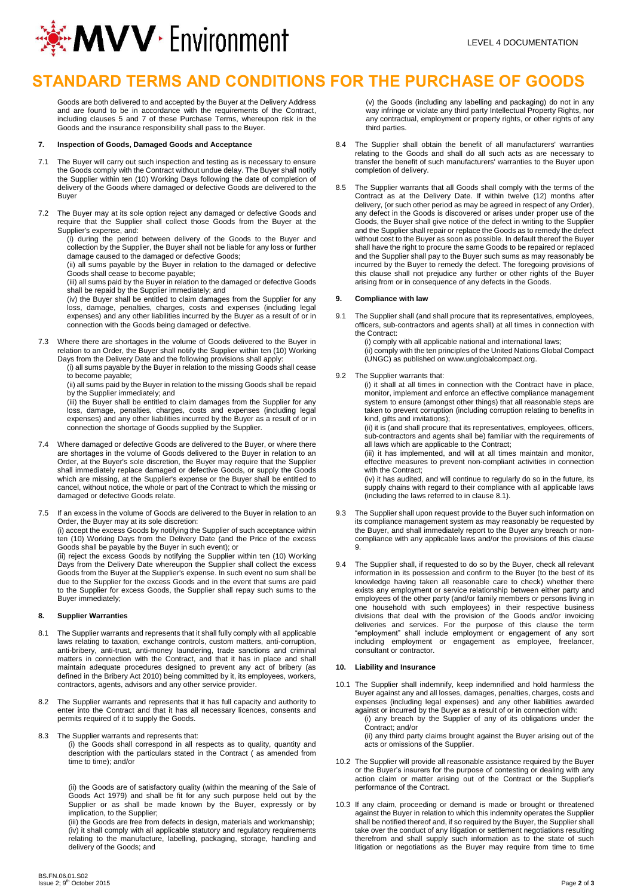

# **STANDARD TERMS AND CONDITIONS FOR THE PURCHASE OF GOODS**

Goods are both delivered to and accepted by the Buyer at the Delivery Address and are found to be in accordance with the requirements of the Contract, including clauses 5 and 7 of these Purchase Terms, whereupon risk in the Goods and the insurance responsibility shall pass to the Buyer.

#### **7. Inspection of Goods, Damaged Goods and Acceptance**

- 7.1 The Buyer will carry out such inspection and testing as is necessary to ensure the Goods comply with the Contract without undue delay. The Buyer shall notify the Supplier within ten (10) Working Days following the date of completion of delivery of the Goods where damaged or defective Goods are delivered to the Buyer
- 7.2 The Buyer may at its sole option reject any damaged or defective Goods and require that the Supplier shall collect those Goods from the Buyer at the Supplier's expense, and:

(i) during the period between delivery of the Goods to the Buyer and collection by the Supplier, the Buyer shall not be liable for any loss or further damage caused to the damaged or defective Goods;

(ii) all sums payable by the Buyer in relation to the damaged or defective Goods shall cease to become payable;

(iii) all sums paid by the Buyer in relation to the damaged or defective Goods shall be repaid by the Supplier immediately; and

(iv) the Buyer shall be entitled to claim damages from the Supplier for any loss, damage, penalties, charges, costs and expenses (including legal expenses) and any other liabilities incurred by the Buyer as a result of or in connection with the Goods being damaged or defective.

7.3 Where there are shortages in the volume of Goods delivered to the Buyer in relation to an Order, the Buyer shall notify the Supplier within ten (10) Working Days from the Delivery Date and the following provisions shall apply:

(i) all sums payable by the Buyer in relation to the missing Goods shall cease to become payable;

(ii) all sums paid by the Buyer in relation to the missing Goods shall be repaid by the Supplier immediately; and

(iii) the Buyer shall be entitled to claim damages from the Supplier for any loss, damage, penalties, charges, costs and expenses (including legal expenses) and any other liabilities incurred by the Buyer as a result of or in connection the shortage of Goods supplied by the Supplier.

- 7.4 Where damaged or defective Goods are delivered to the Buyer, or where there are shortages in the volume of Goods delivered to the Buyer in relation to an Order, at the Buyer's sole discretion, the Buyer may require that the Supplier shall immediately replace damaged or defective Goods, or supply the Goods which are missing, at the Supplier's expense or the Buyer shall be entitled to cancel, without notice, the whole or part of the Contract to which the missing or damaged or defective Goods relate.
- 7.5 If an excess in the volume of Goods are delivered to the Buyer in relation to an Order, the Buyer may at its sole discretion: (i) accept the excess Goods by notifying the Supplier of such acceptance within ten (10) Working Days from the Delivery Date (and the Price of the excess Goods shall be payable by the Buyer in such event); or

(ii) reject the excess Goods by notifying the Supplier within ten (10) Working Days from the Delivery Date whereupon the Supplier shall collect the excess Goods from the Buyer at the Supplier's expense. In such event no sum shall be due to the Supplier for the excess Goods and in the event that sums are paid to the Supplier for excess Goods, the Supplier shall repay such sums to the Buyer immediately;

### **8. Supplier Warranties**

- 8.1 The Supplier warrants and represents that it shall fully comply with all applicable laws relating to taxation, exchange controls, custom matters, anti-corruption, anti-bribery, anti-trust, anti-money laundering, trade sanctions and criminal matters in connection with the Contract, and that it has in place and shall maintain adequate procedures designed to prevent any act of bribery (as defined in the Bribery Act 2010) being committed by it, its employees, workers, contractors, agents, advisors and any other service provider.
- 8.2 The Supplier warrants and represents that it has full capacity and authority to enter into the Contract and that it has all necessary licences, consents and permits required of it to supply the Goods.
- 8.3 The Supplier warrants and represents that:

(i) the Goods shall correspond in all respects as to quality, quantity and description with the particulars stated in the Contract ( as amended from time to time); and/or

(ii) the Goods are of satisfactory quality (within the meaning of the Sale of Goods Act 1979) and shall be fit for any such purpose held out by the Supplier or as shall be made known by the Buyer, expressly or by implication, to the Supplier;

(iii) the Goods are free from defects in design, materials and workmanship; (iv) it shall comply with all applicable statutory and regulatory requirements relating to the manufacture, labelling, packaging, storage, handling and delivery of the Goods; and

(v) the Goods (including any labelling and packaging) do not in any way infringe or violate any third party Intellectual Property Rights, nor any contractual, employment or property rights, or other rights of any third parties.

- 8.4 The Supplier shall obtain the benefit of all manufacturers' warranties relating to the Goods and shall do all such acts as are necessary to transfer the benefit of such manufacturers' warranties to the Buyer upon completion of delivery.
- The Supplier warrants that all Goods shall comply with the terms of the Contract as at the Delivery Date. If within twelve (12) months after delivery, (or such other period as may be agreed in respect of any Order), any defect in the Goods is discovered or arises under proper use of the Goods, the Buyer shall give notice of the defect in writing to the Supplier and the Supplier shall repair or replace the Goods as to remedy the defect without cost to the Buyer as soon as possible. In default thereof the Buyer shall have the right to procure the same Goods to be repaired or replaced and the Supplier shall pay to the Buyer such sums as may reasonably be incurred by the Buyer to remedy the defect. The foregoing provisions of this clause shall not prejudice any further or other rights of the Buyer arising from or in consequence of any defects in the Goods.

## **9. Compliance with law**

The Supplier shall (and shall procure that its representatives, employees, officers, sub-contractors and agents shall) at all times in connection with the Contract:

(i) comply with all applicable national and international laws; (ii) comply with the ten principles of the United Nations Global Compact (UNGC) as published on www.unglobalcompact.org.

## 9.2 The Supplier warrants that:

(i) it shall at all times in connection with the Contract have in place, monitor, implement and enforce an effective compliance management system to ensure (amongst other things) that all reasonable steps are taken to prevent corruption (including corruption relating to benefits in kind, gifts and invitations):

(ii) it is (and shall procure that its representatives, employees, officers, sub-contractors and agents shall be) familiar with the requirements of all laws which are applicable to the Contract;

(iii) it has implemented, and will at all times maintain and monitor, effective measures to prevent non-compliant activities in connection with the Contract:

(iv) it has audited, and will continue to regularly do so in the future, its supply chains with regard to their compliance with all applicable laws (including the laws referred to in clause 8.1).

- The Supplier shall upon request provide to the Buyer such information on its compliance management system as may reasonably be requested by the Buyer, and shall immediately report to the Buyer any breach or noncompliance with any applicable laws and/or the provisions of this clause 9.
- The Supplier shall, if requested to do so by the Buyer, check all relevant information in its possession and confirm to the Buyer (to the best of its knowledge having taken all reasonable care to check) whether there exists any employment or service relationship between either party and employees of the other party (and/or family members or persons living in one household with such employees) in their respective business divisions that deal with the provision of the Goods and/or invoicing deliveries and services. For the purpose of this clause the term "employment" shall include employment or engagement of any sort including employment or engagement as employee, freelancer, consultant or contractor.

## **10. Liability and Insurance**

- 10.1 The Supplier shall indemnify, keep indemnified and hold harmless the Buyer against any and all losses, damages, penalties, charges, costs and expenses (including legal expenses) and any other liabilities awarded against or incurred by the Buyer as a result of or in connection with:
	- (i) any breach by the Supplier of any of its obligations under the Contract; and/or

(ii) any third party claims brought against the Buyer arising out of the acts or omissions of the Supplier.

- 10.2 The Supplier will provide all reasonable assistance required by the Buyer or the Buyer's insurers for the purpose of contesting or dealing with any action claim or matter arising out of the Contract or the Supplier's performance of the Contract.
- 10.3 If any claim, proceeding or demand is made or brought or threatened against the Buyer in relation to which this indemnity operates the Supplier shall be notified thereof and, if so required by the Buyer, the Supplier shall take over the conduct of any litigation or settlement negotiations resulting therefrom and shall supply such information as to the state of such litigation or negotiations as the Buyer may require from time to time